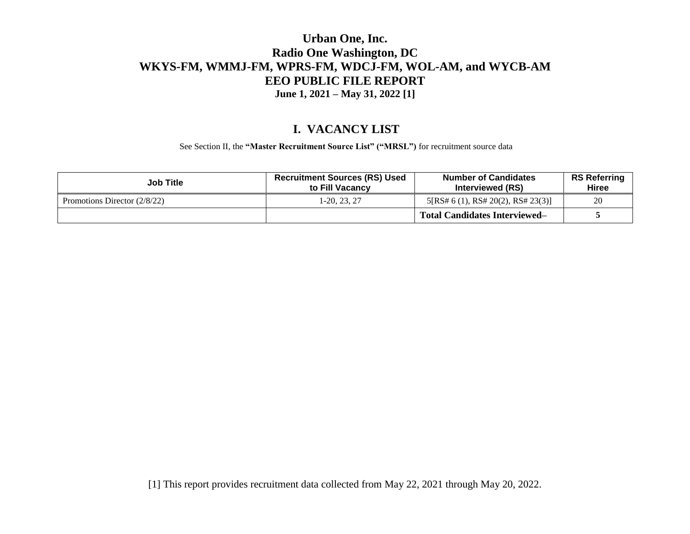#### **I. VACANCY LIST**

See Section II, the **"Master Recruitment Source List" ("MRSL")** for recruitment source data

| <b>Job Title</b>               | <b>Recruitment Sources (RS) Used</b><br>to Fill Vacancy | <b>Number of Candidates</b><br>Interviewed (RS) | <b>RS Referring</b><br>Hiree |
|--------------------------------|---------------------------------------------------------|-------------------------------------------------|------------------------------|
| Promotions Director $(2/8/22)$ | $1-20, 23, 27$                                          | 5[RS# 6 (1), RS# 20(2), RS# 23(3)]              | 20                           |
|                                |                                                         | <b>Total Candidates Interviewed–</b>            |                              |

[1] This report provides recruitment data collected from May 22, 2021 through May 20, 2022.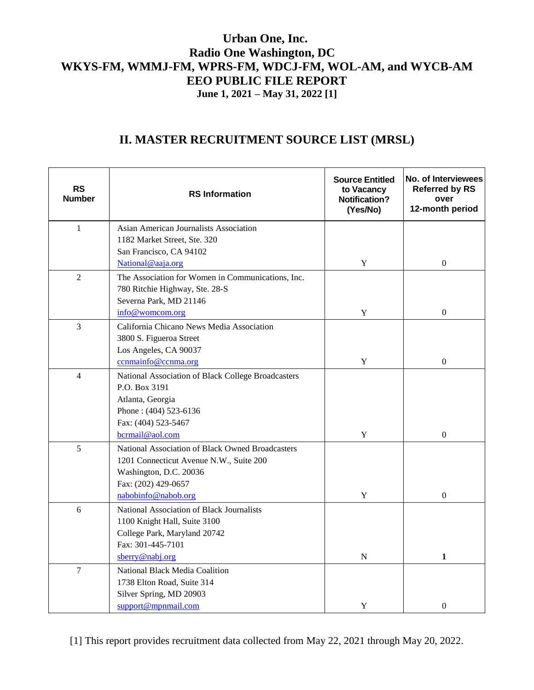# **II. MASTER RECRUITMENT SOURCE LIST (MRSL)**

| <b>RS</b><br><b>Number</b> | <b>RS Information</b>                              | <b>Source Entitled</b><br>to Vacancy<br><b>Notification?</b><br>(Yes/No) | No. of Interviewees<br><b>Referred by RS</b><br>over<br>12-month period |
|----------------------------|----------------------------------------------------|--------------------------------------------------------------------------|-------------------------------------------------------------------------|
| $\mathbf{1}$               | Asian American Journalists Association             |                                                                          |                                                                         |
|                            | 1182 Market Street, Ste. 320                       |                                                                          |                                                                         |
|                            | San Francisco, CA 94102                            |                                                                          |                                                                         |
|                            | National@aaja.org                                  | Y                                                                        | $\boldsymbol{0}$                                                        |
| $\overline{2}$             | The Association for Women in Communications, Inc.  |                                                                          |                                                                         |
|                            | 780 Ritchie Highway, Ste. 28-S                     |                                                                          |                                                                         |
|                            | Severna Park, MD 21146                             |                                                                          |                                                                         |
|                            | info@womcom.org                                    | $\mathbf Y$                                                              | $\boldsymbol{0}$                                                        |
| $\overline{3}$             | California Chicano News Media Association          |                                                                          |                                                                         |
|                            | 3800 S. Figueroa Street                            |                                                                          |                                                                         |
|                            | Los Angeles, CA 90037<br>ccnmainfo@ccnma.org       | Y                                                                        | $\boldsymbol{0}$                                                        |
| $\overline{4}$             | National Association of Black College Broadcasters |                                                                          |                                                                         |
|                            | P.O. Box 3191                                      |                                                                          |                                                                         |
|                            | Atlanta, Georgia                                   |                                                                          |                                                                         |
|                            | Phone: (404) 523-6136                              |                                                                          |                                                                         |
|                            | Fax: (404) 523-5467                                |                                                                          |                                                                         |
|                            | bcrmail@aol.com                                    | Y                                                                        | $\Omega$                                                                |
| 5                          | National Association of Black Owned Broadcasters   |                                                                          |                                                                         |
|                            | 1201 Connecticut Avenue N.W., Suite 200            |                                                                          |                                                                         |
|                            | Washington, D.C. 20036                             |                                                                          |                                                                         |
|                            | Fax: (202) 429-0657                                |                                                                          |                                                                         |
|                            | nabobinfo@nabob.org                                | $\mathbf Y$                                                              | $\Omega$                                                                |
| 6                          | National Association of Black Journalists          |                                                                          |                                                                         |
|                            | 1100 Knight Hall, Suite 3100                       |                                                                          |                                                                         |
|                            | College Park, Maryland 20742                       |                                                                          |                                                                         |
|                            | Fax: 301-445-7101                                  |                                                                          |                                                                         |
|                            | sberry@nabj.org                                    | N                                                                        | 1                                                                       |
| $\overline{7}$             | National Black Media Coalition                     |                                                                          |                                                                         |
|                            | 1738 Elton Road, Suite 314                         |                                                                          |                                                                         |
|                            | Silver Spring, MD 20903                            |                                                                          |                                                                         |
|                            | support@mpnmail.com                                | Y                                                                        | $\boldsymbol{0}$                                                        |

[1] This report provides recruitment data collected from May 22, 2021 through May 20, 2022.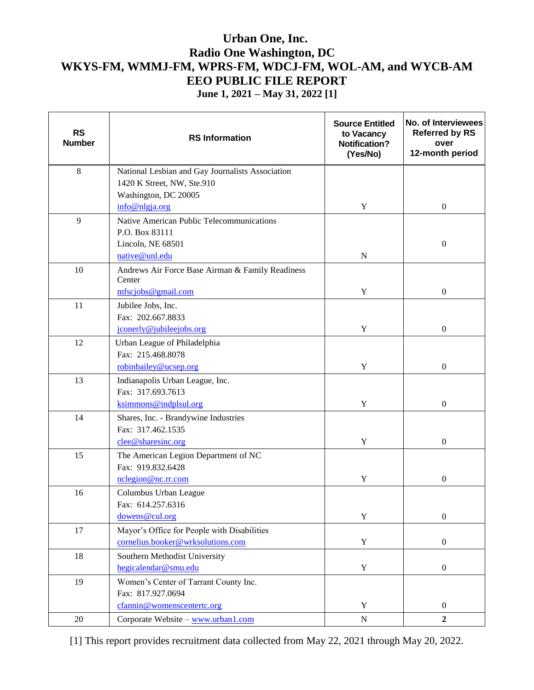| <b>RS</b><br><b>Number</b> | <b>RS</b> Information                                      | <b>Source Entitled</b><br>to Vacancy<br><b>Notification?</b><br>(Yes/No) | No. of Interviewees<br><b>Referred by RS</b><br>over<br>12-month period |
|----------------------------|------------------------------------------------------------|--------------------------------------------------------------------------|-------------------------------------------------------------------------|
| $\,8\,$                    | National Lesbian and Gay Journalists Association           |                                                                          |                                                                         |
|                            | 1420 K Street, NW, Ste.910                                 |                                                                          |                                                                         |
|                            | Washington, DC 20005                                       |                                                                          |                                                                         |
|                            | info@nlgja.org                                             | Y                                                                        | $\boldsymbol{0}$                                                        |
| 9                          | Native American Public Telecommunications                  |                                                                          |                                                                         |
|                            | P.O. Box 83111                                             |                                                                          |                                                                         |
|                            | Lincoln, NE 68501                                          |                                                                          | $\mathbf{0}$                                                            |
|                            | native@unl.edu                                             | $\mathbf N$                                                              |                                                                         |
| 10                         | Andrews Air Force Base Airman & Family Readiness<br>Center |                                                                          |                                                                         |
|                            | mfscjobs@gmail.com                                         | Y                                                                        | $\boldsymbol{0}$                                                        |
| 11                         | Jubilee Jobs, Inc.                                         |                                                                          |                                                                         |
|                            | Fax: 202.667.8833                                          |                                                                          |                                                                         |
|                            | jconerly@jubileejobs.org                                   | Y                                                                        | $\boldsymbol{0}$                                                        |
| 12                         | Urban League of Philadelphia                               |                                                                          |                                                                         |
|                            | Fax: 215.468.8078                                          |                                                                          |                                                                         |
|                            | robinbailey@ucsep.org                                      | $\mathbf Y$                                                              | $\mathbf{0}$                                                            |
| 13                         | Indianapolis Urban League, Inc.                            |                                                                          |                                                                         |
|                            | Fax: 317.693.7613                                          |                                                                          |                                                                         |
|                            | ksimmons@indplsul.org                                      | Y                                                                        | $\boldsymbol{0}$                                                        |
| 14                         | Shares, Inc. - Brandywine Industries                       |                                                                          |                                                                         |
|                            | Fax: 317.462.1535                                          |                                                                          |                                                                         |
|                            | clee@sharesinc.org                                         | $\mathbf Y$                                                              | $\boldsymbol{0}$                                                        |
| 15                         | The American Legion Department of NC                       |                                                                          |                                                                         |
|                            | Fax: 919.832.6428                                          |                                                                          |                                                                         |
|                            | nclegion@nc.rr.com                                         | Y                                                                        | $\boldsymbol{0}$                                                        |
| 16                         | Columbus Urban League                                      |                                                                          |                                                                         |
|                            | Fax: 614.257.6316                                          |                                                                          |                                                                         |
|                            | dowens@cul.org                                             | Y                                                                        | $\boldsymbol{0}$                                                        |
| 17                         | Mayor's Office for People with Disabilities                |                                                                          |                                                                         |
|                            | cornelius.booker@wrksolutions.com                          | Y                                                                        | $\boldsymbol{0}$                                                        |
| $18\,$                     | Southern Methodist University                              |                                                                          |                                                                         |
|                            | hegicalendar@smu.edu                                       | $\mathbf Y$                                                              | $\boldsymbol{0}$                                                        |
| 19                         | Women's Center of Tarrant County Inc.                      |                                                                          |                                                                         |
|                            | Fax: 817.927.0694                                          |                                                                          |                                                                         |
|                            | cfannin@womenscentertc.org                                 | Y                                                                        | $\boldsymbol{0}$                                                        |
| 20                         | Corporate Website - www.urban1.com                         | ${\bf N}$                                                                | $\overline{2}$                                                          |

[1] This report provides recruitment data collected from May 22, 2021 through May 20, 2022.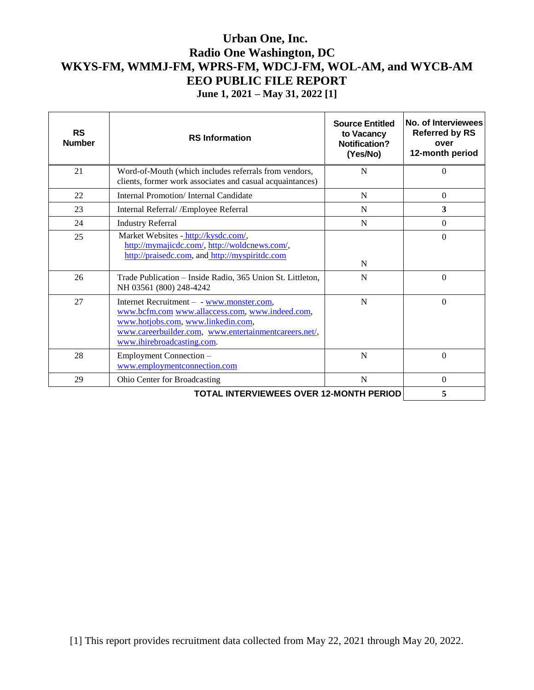| <b>RS</b><br><b>Number</b>                     | <b>RS</b> Information                                                                                                                                                                                                     | <b>Source Entitled</b><br>to Vacancy<br>Notification?<br>(Yes/No) | No. of Interviewees<br><b>Referred by RS</b><br>over<br>12-month period |
|------------------------------------------------|---------------------------------------------------------------------------------------------------------------------------------------------------------------------------------------------------------------------------|-------------------------------------------------------------------|-------------------------------------------------------------------------|
| 21                                             | Word-of-Mouth (which includes referrals from vendors,<br>clients, former work associates and casual acquaintances)                                                                                                        | N                                                                 | $\Omega$                                                                |
| 22                                             | Internal Promotion/Internal Candidate                                                                                                                                                                                     | N                                                                 | $\theta$                                                                |
| 23                                             | Internal Referral/ / Employee Referral                                                                                                                                                                                    | N                                                                 | 3                                                                       |
| 24                                             | <b>Industry Referral</b>                                                                                                                                                                                                  | N                                                                 | $\Omega$                                                                |
| 25                                             | Market Websites - http://kysdc.com/,<br>http://mymajicdc.com/, http://woldcnews.com/,<br>http://praisedc.com, and http://myspiritdc.com                                                                                   | N                                                                 | $\Omega$                                                                |
| 26                                             | Trade Publication - Inside Radio, 365 Union St. Littleton,<br>NH 03561 (800) 248-4242                                                                                                                                     | N                                                                 | $\Omega$                                                                |
| 27                                             | Internet Recruitment - - www.monster.com,<br>www.bcfm.com www.allaccess.com, www.indeed.com,<br>www.hotjobs.com, www.linkedin.com,<br>www.careerbuilder.com, www.entertainmentcareers.net/,<br>www.ihirebroadcasting.com. | N                                                                 | $\Omega$                                                                |
| 28                                             | Employment Connection -<br>www.employmentconnection.com                                                                                                                                                                   | N                                                                 | $\Omega$                                                                |
| 29                                             | <b>Ohio Center for Broadcasting</b>                                                                                                                                                                                       | N                                                                 | $\theta$                                                                |
| <b>TOTAL INTERVIEWEES OVER 12-MONTH PERIOD</b> |                                                                                                                                                                                                                           |                                                                   | 5                                                                       |